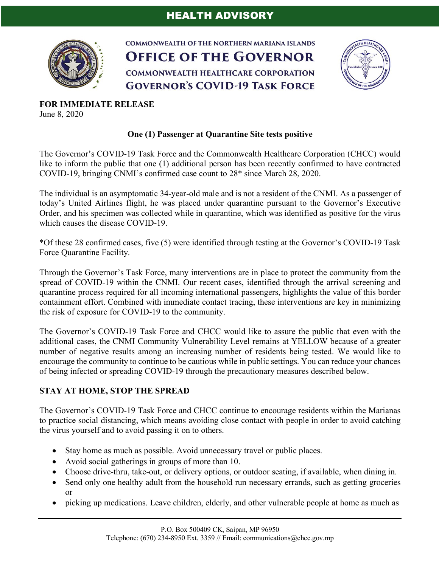

**COMMONWEALTH OF THE NORTHERN MARIANA ISLANDS OFFICE OF THE GOVERNOR COMMONWEALTH HEALTHCARE CORPORATION GOVERNOR'S COVID-19 TASK FORCE** 



**FOR IMMEDIATE RELEASE** June 8, 2020

## **One (1) Passenger at Quarantine Site tests positive**

The Governor's COVID-19 Task Force and the Commonwealth Healthcare Corporation (CHCC) would like to inform the public that one (1) additional person has been recently confirmed to have contracted COVID-19, bringing CNMI's confirmed case count to 28\* since March 28, 2020.

The individual is an asymptomatic 34-year-old male and is not a resident of the CNMI. As a passenger of today's United Airlines flight, he was placed under quarantine pursuant to the Governor's Executive Order, and his specimen was collected while in quarantine, which was identified as positive for the virus which causes the disease COVID-19.

\*Of these 28 confirmed cases, five (5) were identified through testing at the Governor's COVID-19 Task Force Quarantine Facility.

Through the Governor's Task Force, many interventions are in place to protect the community from the spread of COVID-19 within the CNMI. Our recent cases, identified through the arrival screening and quarantine process required for all incoming international passengers, highlights the value of this border containment effort. Combined with immediate contact tracing, these interventions are key in minimizing the risk of exposure for COVID-19 to the community.

The Governor's COVID-19 Task Force and CHCC would like to assure the public that even with the additional cases, the CNMI Community Vulnerability Level remains at YELLOW because of a greater number of negative results among an increasing number of residents being tested. We would like to encourage the community to continue to be cautious while in public settings. You can reduce your chances of being infected or spreading COVID-19 through the precautionary measures described below.

## **STAY AT HOME, STOP THE SPREAD**

The Governor's COVID-19 Task Force and CHCC continue to encourage residents within the Marianas to practice social distancing, which means avoiding close contact with people in order to avoid catching the virus yourself and to avoid passing it on to others.

- Stay home as much as possible. Avoid unnecessary travel or public places.
- Avoid social gatherings in groups of more than 10.
- Choose drive-thru, take-out, or delivery options, or outdoor seating, if available, when dining in.
- Send only one healthy adult from the household run necessary errands, such as getting groceries or
- picking up medications. Leave children, elderly, and other vulnerable people at home as much as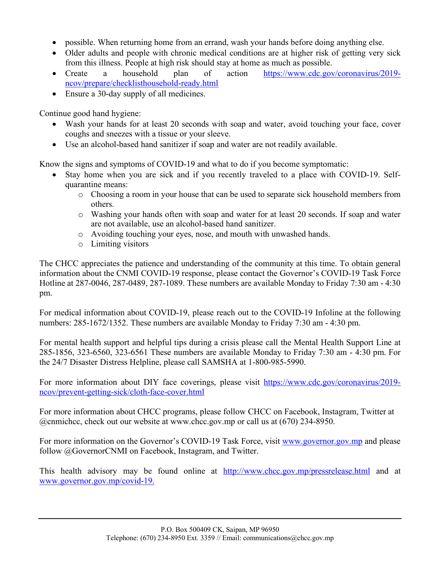- possible. When returning home from an errand, wash your hands before doing anything else.
- Older adults and people with chronic medical conditions are at higher risk of getting very sick from this illness. People at high risk should stay at home as much as possible.
- Create a household plan of action https://www.cdc.gov/coronavirus/2019ncov/prepare/checklisthousehold-ready.html
- Ensure a 30-day supply of all medicines.

Continue good hand hygiene:

- Wash your hands for at least 20 seconds with soap and water, avoid touching your face, cover coughs and sneezes with a tissue or your sleeve.
- Use an alcohol-based hand sanitizer if soap and water are not readily available.

Know the signs and symptoms of COVID-19 and what to do if you become symptomatic:

- Stay home when you are sick and if you recently traveled to a place with COVID-19. Selfquarantine means:
	- o Choosing a room in your house that can be used to separate sick household members from others.
	- o Washing your hands often with soap and water for at least 20 seconds. If soap and water are not available, use an alcohol-based hand sanitizer.
	- o Avoiding touching your eyes, nose, and mouth with unwashed hands.
	- o Limiting visitors

The CHCC appreciates the patience and understanding of the community at this time. To obtain general information about the CNMI COVID-19 response, please contact the Governor's COVID-19 Task Force Hotline at 287-0046, 287-0489, 287-1089. These numbers are available Monday to Friday 7:30 am - 4:30 pm.

For medical information about COVID-19, please reach out to the COVID-19 Infoline at the following numbers: 285-1672/1352. These numbers are available Monday to Friday 7:30 am - 4:30 pm.

For mental health support and helpful tips during a crisis please call the Mental Health Support Line at 285-1856, 323-6560, 323-6561 These numbers are available Monday to Friday 7:30 am - 4:30 pm. For the 24/7 Disaster Distress Helpline, please call SAMSHA at 1-800-985-5990.

For more information about DIY face coverings, please visit https://www.cdc.gov/coronavirus/2019 ncov/prevent-getting-sick/cloth-face-cover.html

For more information about CHCC programs, please follow CHCC on Facebook, Instagram, Twitter at @cnmichcc, check out our website at www.chcc.gov.mp or call us at (670) 234-8950.

For more information on the Governor's COVID-19 Task Force, visit www.governor.gov.mp and please follow @GovernorCNMI on Facebook, Instagram, and Twitter.

This health advisory may be found online at http://www.chcc.gov.mp/pressrelease.html and at www.governor.gov.mp/covid-19.